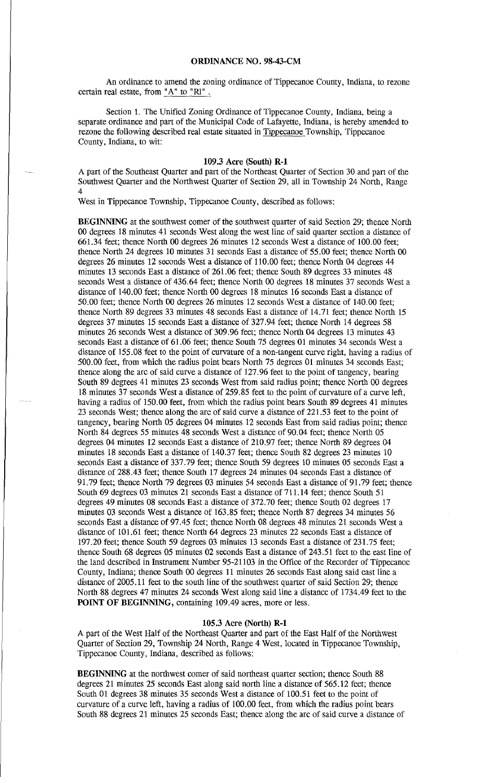## **ORDINANCE** NO. **98-43-CM**

An ordinance to amend the zoning ordinance of Tippecanoe County, Indiana, to rezone certain real estate, from " $A$ " to "RI".

Section 1. The Unified Zoning Ordinance of Tippecanoe County, Indiana, being a separate ordinance and part of the Municipal Code of Lafayette, Indiana, is hereby amended to rezone the following described real estate situated in Tippecanoe Township, Tippecanoe County, Indiana, to wit:

## 109 .3 Acre **(South) R-1**

A part of the Southeast Quarter and part of the Northeast Quarter of Section 30 and part of the Southwest Quarter and the Northwest Quarter of Section 29, all in Township 24 North, Range 4

West in Tippecanoe Township, Tippecanoe County, described as follows:

**BEGINNING** at the southwest comer of the southwest quarter of said Section 29; thence North 00 degrees 18 minutes 41 seconds West along the west line of said quarter section a distance of 661.34 feet; thence North 00 degrees 26 minutes 12 seconds West a distance of 100.00 feet; thence North 24 degrees 10 minutes 31 seconds East a distance of 55.00 feet; thence North 00 degrees 26 minutes 12 seconds West a distance of 110.00 feet; thence North 04 degrees 44 minutes 13 seconds East a distance of 261.06 feet; thence South 89 degrees 33 minutes 48 seconds West a distance of 436.64 feet; thence North 00 degrees 18 minutes 37 seconds West a distance of 140.00 feet; thence North 00 degrees 18 minutes 16 seconds East a distance of 50.00 feet; thence North 00 degrees 26 minutes 12 seconds West a distance of 140.00 feet; thence North 89 degrees 33 minutes 48 seconds East a distance of 14.71 feet; thence North 15 degrees 37 minutes 15 seconds East a distance of 327.94 feet; thence North 14 degrees 58 minutes 26 seconds West a distance of 309.96 feet; thence North 04 degrees 13 minutes 43 seconds East a distance of 61.06 feet; thence South 75 degrees 01 minutes 34 seconds West a distance of 155. 08 feet to the point of curvature of a non-tangent curve right, having a radius of 500.00 feet, from which the radius point bears North 75 degrees 01 minutes 34 seconds East; thence along the arc of said curve a distance of 127 .96 feet to the point of tangency, bearing South 89 degrees 41 minutes 23 seconds West from said radius point; thence North 00 degrees 18 minutes 37 seconds West a distance of 259.85 feet to the point of curvature of a curve left, having a radius of 150.00 feet, from which the radius point bears South 89 degrees 41 minutes 23 seconds West; thence along the arc of said curve a distance of 221.53 feet to the point of tangency, bearing North 05 degrees 04 minutes 12 seconds East from said radius point; thence North 84 degrees 55 minutes 48 seconds West a distance of 90.04 feet; thence North 05 degrees 04 minutes 12 seconds East a distance of 210.97 feet; thence North 89 degrees 04 minutes 18 seconds East a distance of 140.37 feet; thence South 82 degrees 23 minutes 10 seconds East a distance of 337.79 feet; thence South 59 degrees 10 minutes 05 seconds East a distance of 288 .43 feet; thence South 17 degrees 24 minutes 04 seconds East a distance of 91.79 feet; thence North 79 degrees 03 minutes 54 seconds East a distance of 91.79 feet; thence South 69 degrees 03 minutes 21 seconds East a distance of 711.14 feet; thence South 51 degrees 49 minutes 08 seconds East a distance of 372.70 feet; thence South 02 degrees 17 minutes 03 seconds West a distance of 163.85 feet; thence North 87 degrees 34 minutes 56 seconds East a distance of 97.45 feet; thence North 08 degrees 48 minutes 21 seconds West a distance of 101.61 feet; thence North 64 degrees 23 minutes 22 seconds East a distance of 197.20 feet; thence South 59 degrees 03 minutes 13 seconds East a distance of 231.75 feet; thence South 68 degrees 05 minutes 02 seconds East a distance of 243.51 feet to the east line of the land described in Instrument Number 95-21103 in the Office of the Recorder of Tippecanoe County, Indiana; thence South 00 degrees 11 minutes 26 seconds East along said east line a distance of 2005 .11 feet to the south line of the southwest quarter of said Section 29; thence North 88 degrees 47 minutes 24 seconds West along said line a distance of 1734.49 feet to the **POINT OF BEGINNING,** containing 109.49 acres, more or less.

## **105.3** Acre **(North) R-1**

A part of the West Half of the Northeast Quarter and part of the East Half of the Northwest Quarter of Section 29, Township 24 North, Range 4 West, located in Tippecanoe Township, Tippecanoe County, Indiana, described as follows:

**BEGINNING** at the northwest comer of said northeast quarter section; thence South 88 degrees 21 minutes 25 seconds East along said north line a distance of 565.12 feet; thence South 01 degrees 38 minutes 35 seconds West a distance of 100.51 feet to the point of curvature of a curve left, having a radius of 100.00 feet, from which the radius point bears South 88 degrees 21 minutes 25 seconds East; thence along the arc of said curve a distance of